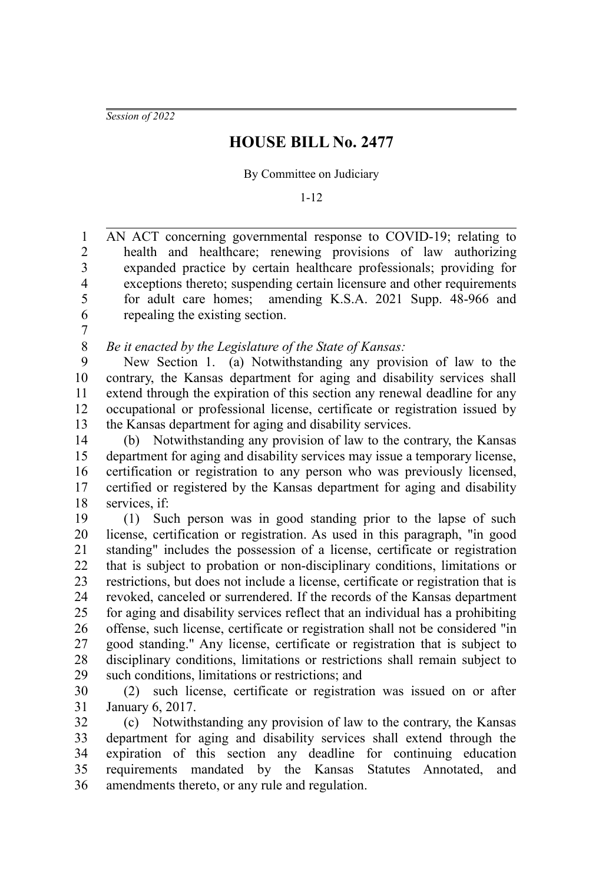*Session of 2022*

## **HOUSE BILL No. 2477**

By Committee on Judiciary

1-12

AN ACT concerning governmental response to COVID-19; relating to health and healthcare; renewing provisions of law authorizing expanded practice by certain healthcare professionals; providing for exceptions thereto; suspending certain licensure and other requirements for adult care homes; amending K.S.A. 2021 Supp. 48-966 and repealing the existing section. 1 2 3 4 5 6

7

*Be it enacted by the Legislature of the State of Kansas:* 8

New Section 1. (a) Notwithstanding any provision of law to the contrary, the Kansas department for aging and disability services shall extend through the expiration of this section any renewal deadline for any occupational or professional license, certificate or registration issued by the Kansas department for aging and disability services. 9 10 11 12 13

(b) Notwithstanding any provision of law to the contrary, the Kansas department for aging and disability services may issue a temporary license, certification or registration to any person who was previously licensed, certified or registered by the Kansas department for aging and disability services, if: 14 15 16 17 18

(1) Such person was in good standing prior to the lapse of such license, certification or registration. As used in this paragraph, "in good standing" includes the possession of a license, certificate or registration that is subject to probation or non-disciplinary conditions, limitations or restrictions, but does not include a license, certificate or registration that is revoked, canceled or surrendered. If the records of the Kansas department for aging and disability services reflect that an individual has a prohibiting offense, such license, certificate or registration shall not be considered "in good standing." Any license, certificate or registration that is subject to disciplinary conditions, limitations or restrictions shall remain subject to such conditions, limitations or restrictions; and 19 20 21 22 23 24 25 26 27 28 29

(2) such license, certificate or registration was issued on or after January 6, 2017. 30 31

(c) Notwithstanding any provision of law to the contrary, the Kansas department for aging and disability services shall extend through the expiration of this section any deadline for continuing education requirements mandated by the Kansas Statutes Annotated, and amendments thereto, or any rule and regulation. 32 33 34 35 36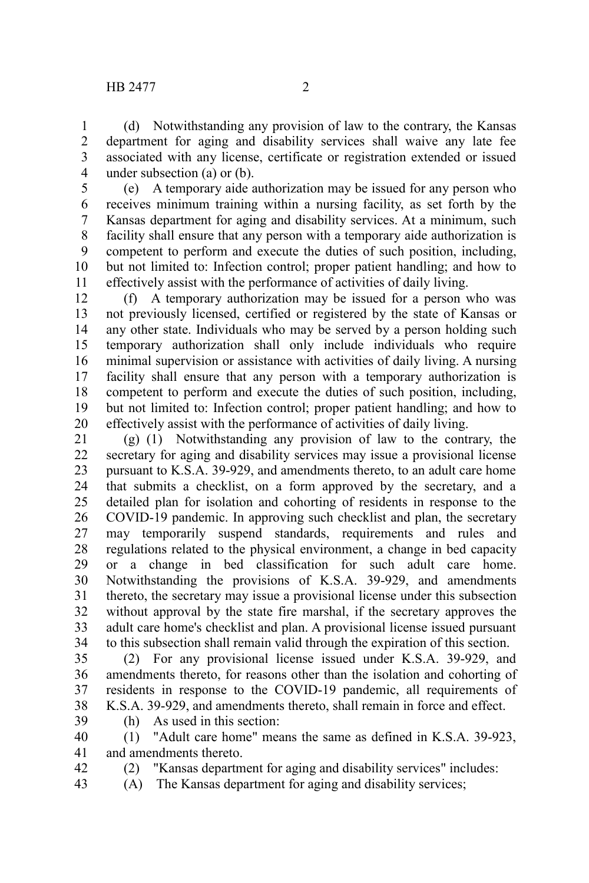(d) Notwithstanding any provision of law to the contrary, the Kansas department for aging and disability services shall waive any late fee associated with any license, certificate or registration extended or issued under subsection (a) or (b). 1 2 3 4

(e) A temporary aide authorization may be issued for any person who receives minimum training within a nursing facility, as set forth by the Kansas department for aging and disability services. At a minimum, such facility shall ensure that any person with a temporary aide authorization is competent to perform and execute the duties of such position, including, but not limited to: Infection control; proper patient handling; and how to effectively assist with the performance of activities of daily living. 5 6 7 8 9 10 11

(f) A temporary authorization may be issued for a person who was not previously licensed, certified or registered by the state of Kansas or any other state. Individuals who may be served by a person holding such temporary authorization shall only include individuals who require minimal supervision or assistance with activities of daily living. A nursing facility shall ensure that any person with a temporary authorization is competent to perform and execute the duties of such position, including, but not limited to: Infection control; proper patient handling; and how to effectively assist with the performance of activities of daily living. 12 13 14 15 16 17 18 19 20

(g) (1) Notwithstanding any provision of law to the contrary, the secretary for aging and disability services may issue a provisional license pursuant to K.S.A. 39-929, and amendments thereto, to an adult care home that submits a checklist, on a form approved by the secretary, and a detailed plan for isolation and cohorting of residents in response to the COVID-19 pandemic. In approving such checklist and plan, the secretary may temporarily suspend standards, requirements and rules and regulations related to the physical environment, a change in bed capacity or a change in bed classification for such adult care home. Notwithstanding the provisions of K.S.A. 39-929, and amendments thereto, the secretary may issue a provisional license under this subsection without approval by the state fire marshal, if the secretary approves the adult care home's checklist and plan. A provisional license issued pursuant to this subsection shall remain valid through the expiration of this section. 21 22 23 24 25 26 27 28 29 30 31 32 33 34

(2) For any provisional license issued under K.S.A. 39-929, and amendments thereto, for reasons other than the isolation and cohorting of residents in response to the COVID-19 pandemic, all requirements of K.S.A. 39-929, and amendments thereto, shall remain in force and effect. 35 36 37 38

39

42

(h) As used in this section: (1) "Adult care home" means the same as defined in K.S.A. 39-923, and amendments thereto. 40 41

- (2) "Kansas department for aging and disability services" includes:
- (A) The Kansas department for aging and disability services; 43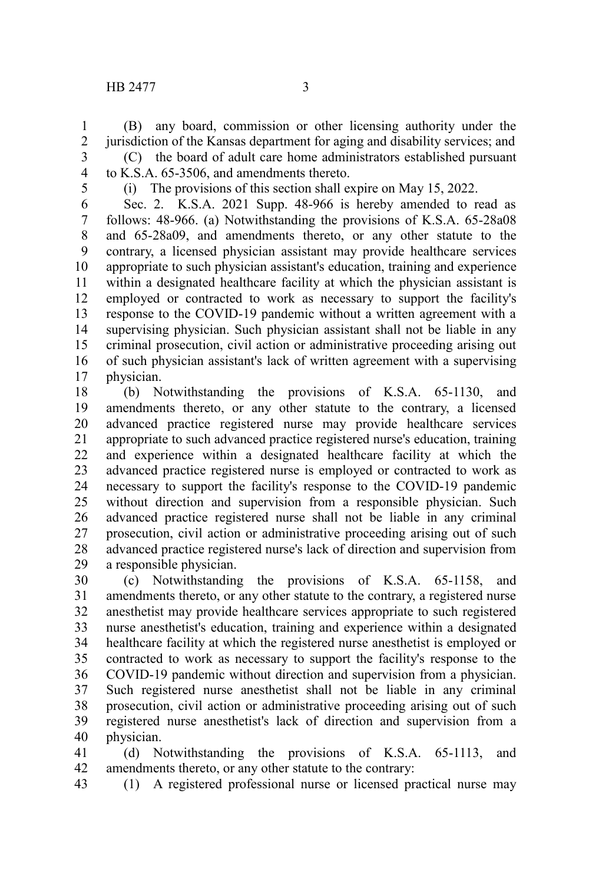## HB 2477 3

(B) any board, commission or other licensing authority under the jurisdiction of the Kansas department for aging and disability services; and (C) the board of adult care home administrators established pursuant to K.S.A. 65-3506, and amendments thereto. 1 2 3 4

5

(i) The provisions of this section shall expire on May 15, 2022.

Sec. 2. K.S.A. 2021 Supp. 48-966 is hereby amended to read as follows: 48-966. (a) Notwithstanding the provisions of K.S.A. 65-28a08 and 65-28a09, and amendments thereto, or any other statute to the contrary, a licensed physician assistant may provide healthcare services appropriate to such physician assistant's education, training and experience within a designated healthcare facility at which the physician assistant is employed or contracted to work as necessary to support the facility's response to the COVID-19 pandemic without a written agreement with a supervising physician. Such physician assistant shall not be liable in any criminal prosecution, civil action or administrative proceeding arising out of such physician assistant's lack of written agreement with a supervising physician. 6 7 8 9 10 11 12 13 14 15 16 17

(b) Notwithstanding the provisions of K.S.A. 65-1130, and amendments thereto, or any other statute to the contrary, a licensed advanced practice registered nurse may provide healthcare services appropriate to such advanced practice registered nurse's education, training and experience within a designated healthcare facility at which the advanced practice registered nurse is employed or contracted to work as necessary to support the facility's response to the COVID-19 pandemic without direction and supervision from a responsible physician. Such advanced practice registered nurse shall not be liable in any criminal prosecution, civil action or administrative proceeding arising out of such advanced practice registered nurse's lack of direction and supervision from a responsible physician. 18 19 20 21 22 23 24 25 26 27 28 29

(c) Notwithstanding the provisions of K.S.A. 65-1158, and amendments thereto, or any other statute to the contrary, a registered nurse anesthetist may provide healthcare services appropriate to such registered nurse anesthetist's education, training and experience within a designated healthcare facility at which the registered nurse anesthetist is employed or contracted to work as necessary to support the facility's response to the COVID-19 pandemic without direction and supervision from a physician. Such registered nurse anesthetist shall not be liable in any criminal prosecution, civil action or administrative proceeding arising out of such registered nurse anesthetist's lack of direction and supervision from a physician. 30 31 32 33 34 35 36 37 38 39 40

(d) Notwithstanding the provisions of K.S.A. 65-1113, and amendments thereto, or any other statute to the contrary: 41 42

(1) A registered professional nurse or licensed practical nurse may 43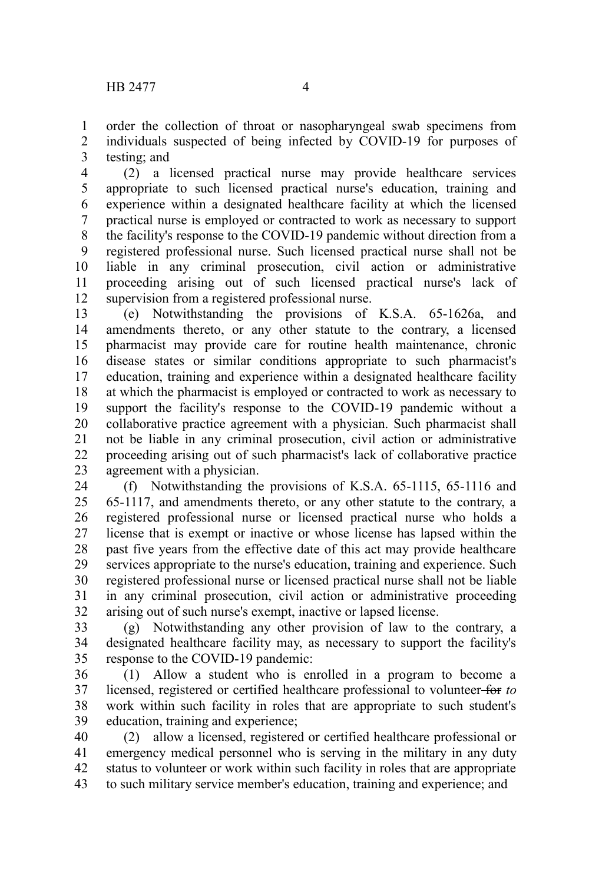order the collection of throat or nasopharyngeal swab specimens from individuals suspected of being infected by COVID-19 for purposes of testing; and 1 2 3

(2) a licensed practical nurse may provide healthcare services appropriate to such licensed practical nurse's education, training and experience within a designated healthcare facility at which the licensed practical nurse is employed or contracted to work as necessary to support the facility's response to the COVID-19 pandemic without direction from a registered professional nurse. Such licensed practical nurse shall not be liable in any criminal prosecution, civil action or administrative proceeding arising out of such licensed practical nurse's lack of supervision from a registered professional nurse. 4 5 6 7 8 9 10 11 12

(e) Notwithstanding the provisions of K.S.A. 65-1626a, and amendments thereto, or any other statute to the contrary, a licensed pharmacist may provide care for routine health maintenance, chronic disease states or similar conditions appropriate to such pharmacist's education, training and experience within a designated healthcare facility at which the pharmacist is employed or contracted to work as necessary to support the facility's response to the COVID-19 pandemic without a collaborative practice agreement with a physician. Such pharmacist shall not be liable in any criminal prosecution, civil action or administrative proceeding arising out of such pharmacist's lack of collaborative practice agreement with a physician. 13 14 15 16 17 18 19 20 21 22 23

(f) Notwithstanding the provisions of K.S.A. 65-1115, 65-1116 and 65-1117, and amendments thereto, or any other statute to the contrary, a registered professional nurse or licensed practical nurse who holds a license that is exempt or inactive or whose license has lapsed within the past five years from the effective date of this act may provide healthcare services appropriate to the nurse's education, training and experience. Such registered professional nurse or licensed practical nurse shall not be liable in any criminal prosecution, civil action or administrative proceeding arising out of such nurse's exempt, inactive or lapsed license. 24 25 26 27 28 29 30 31 32

(g) Notwithstanding any other provision of law to the contrary, a designated healthcare facility may, as necessary to support the facility's response to the COVID-19 pandemic: 33 34 35

(1) Allow a student who is enrolled in a program to become a licensed, registered or certified healthcare professional to volunteer for *to* work within such facility in roles that are appropriate to such student's education, training and experience; 36 37 38 39

(2) allow a licensed, registered or certified healthcare professional or emergency medical personnel who is serving in the military in any duty status to volunteer or work within such facility in roles that are appropriate to such military service member's education, training and experience; and 40 41 42 43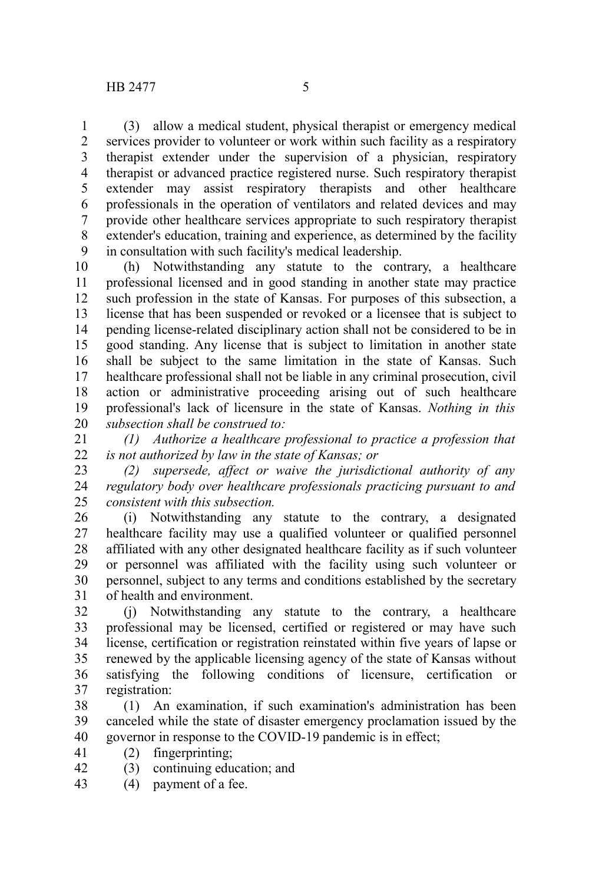(3) allow a medical student, physical therapist or emergency medical services provider to volunteer or work within such facility as a respiratory therapist extender under the supervision of a physician, respiratory therapist or advanced practice registered nurse. Such respiratory therapist extender may assist respiratory therapists and other healthcare professionals in the operation of ventilators and related devices and may provide other healthcare services appropriate to such respiratory therapist extender's education, training and experience, as determined by the facility in consultation with such facility's medical leadership. 1 2 3 4 5 6 7 8 9

(h) Notwithstanding any statute to the contrary, a healthcare professional licensed and in good standing in another state may practice such profession in the state of Kansas. For purposes of this subsection, a license that has been suspended or revoked or a licensee that is subject to pending license-related disciplinary action shall not be considered to be in good standing. Any license that is subject to limitation in another state shall be subject to the same limitation in the state of Kansas. Such healthcare professional shall not be liable in any criminal prosecution, civil action or administrative proceeding arising out of such healthcare professional's lack of licensure in the state of Kansas. *Nothing in this subsection shall be construed to:* 10 11 12 13 14 15 16 17 18 19 20

*(1) Authorize a healthcare professional to practice a profession that is not authorized by law in the state of Kansas; or* 21 22

*(2) supersede, affect or waive the jurisdictional authority of any regulatory body over healthcare professionals practicing pursuant to and consistent with this subsection.* 23 24 25

(i) Notwithstanding any statute to the contrary, a designated healthcare facility may use a qualified volunteer or qualified personnel affiliated with any other designated healthcare facility as if such volunteer or personnel was affiliated with the facility using such volunteer or personnel, subject to any terms and conditions established by the secretary of health and environment. 26 27 28 29 30 31

(j) Notwithstanding any statute to the contrary, a healthcare professional may be licensed, certified or registered or may have such license, certification or registration reinstated within five years of lapse or renewed by the applicable licensing agency of the state of Kansas without satisfying the following conditions of licensure, certification or registration: 32 33 34 35 36 37

(1) An examination, if such examination's administration has been canceled while the state of disaster emergency proclamation issued by the governor in response to the COVID-19 pandemic is in effect; 38 39 40

- (2) fingerprinting; 41
- (3) continuing education; and 42
- (4) payment of a fee. 43